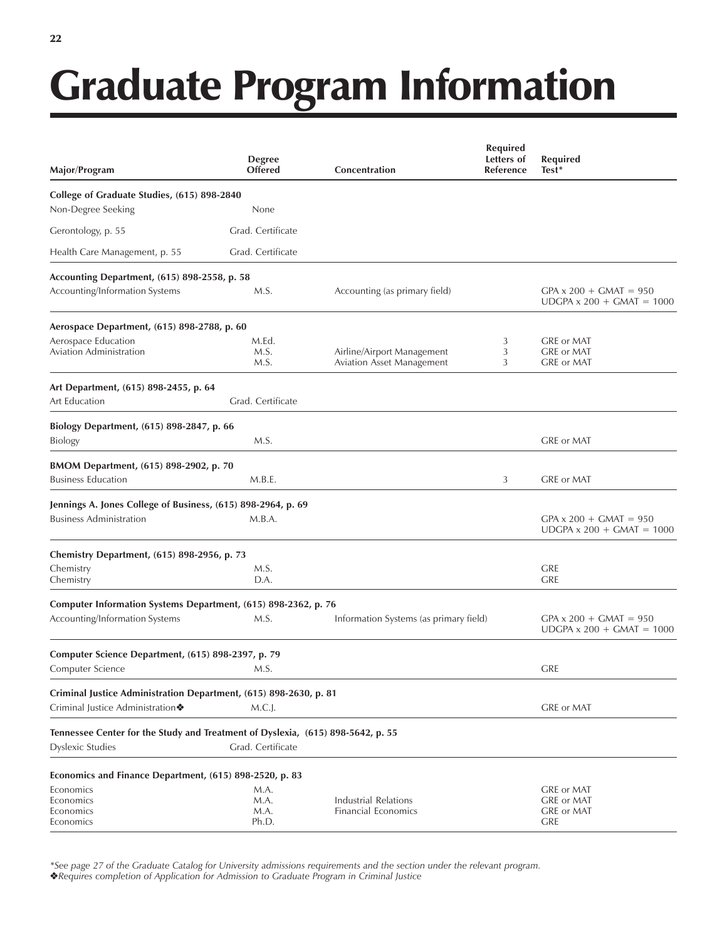## $22$

## Graduate Program Information

| Major/Program                                                                                              | <b>Degree</b><br><b>Offered</b> | Concentration                                           | <b>Required</b><br>Letters of<br>Reference | <b>Required</b><br>Test*                                          |
|------------------------------------------------------------------------------------------------------------|---------------------------------|---------------------------------------------------------|--------------------------------------------|-------------------------------------------------------------------|
| College of Graduate Studies, (615) 898-2840                                                                |                                 |                                                         |                                            |                                                                   |
| Non-Degree Seeking                                                                                         | None                            |                                                         |                                            |                                                                   |
| Gerontology, p. 55                                                                                         | Grad. Certificate               |                                                         |                                            |                                                                   |
| Health Care Management, p. 55                                                                              | Grad. Certificate               |                                                         |                                            |                                                                   |
| Accounting Department, (615) 898-2558, p. 58                                                               |                                 |                                                         |                                            |                                                                   |
| Accounting/Information Systems                                                                             | M.S.                            | Accounting (as primary field)                           |                                            | $GPA \times 200 + GMAT = 950$<br>$UDGPA \times 200 + GMAT = 1000$ |
| Aerospace Department, (615) 898-2788, p. 60                                                                |                                 |                                                         |                                            |                                                                   |
| Aerospace Education                                                                                        | M.Ed.                           |                                                         | 3                                          | <b>GRE or MAT</b>                                                 |
| Aviation Administration                                                                                    | M.S.<br>M.S.                    | Airline/Airport Management<br>Aviation Asset Management | 3<br>3                                     | <b>GRE or MAT</b><br>GRE or MAT                                   |
| Art Department, (615) 898-2455, p. 64                                                                      |                                 |                                                         |                                            |                                                                   |
| Art Education                                                                                              | Grad. Certificate               |                                                         |                                            |                                                                   |
| Biology Department, (615) 898-2847, p. 66                                                                  |                                 |                                                         |                                            |                                                                   |
| Biology                                                                                                    | M.S.                            |                                                         |                                            | GRE or MAT                                                        |
| BMOM Department, (615) 898-2902, p. 70                                                                     |                                 |                                                         |                                            |                                                                   |
| <b>Business Education</b>                                                                                  | M.B.E.                          |                                                         | 3                                          | <b>GRE or MAT</b>                                                 |
| Jennings A. Jones College of Business, (615) 898-2964, p. 69                                               |                                 |                                                         |                                            |                                                                   |
| <b>Business Administration</b>                                                                             | M.B.A.                          |                                                         |                                            | $GPA \times 200 + GMAT = 950$<br>$UDGPA \times 200 + GMAT = 1000$ |
| Chemistry Department, (615) 898-2956, p. 73                                                                |                                 |                                                         |                                            |                                                                   |
| Chemistry<br>Chemistry                                                                                     | M.S.<br>D.A.                    |                                                         |                                            | <b>GRE</b><br><b>GRE</b>                                          |
|                                                                                                            |                                 |                                                         |                                            |                                                                   |
| Computer Information Systems Department, (615) 898-2362, p. 76                                             |                                 |                                                         |                                            |                                                                   |
| Accounting/Information Systems                                                                             | M.S.                            | Information Systems (as primary field)                  |                                            | $GPA \times 200 + GMAT = 950$<br>$UDGPA \times 200 + GMAT = 1000$ |
| Computer Science Department, (615) 898-2397, p. 79                                                         |                                 |                                                         |                                            |                                                                   |
| Computer Science                                                                                           | M.S.                            |                                                         |                                            | <b>GRE</b>                                                        |
| Criminal Justice Administration Department, (615) 898-2630, p. 81                                          |                                 |                                                         |                                            |                                                                   |
| Criminal Justice Administration◆                                                                           | $M.C.$ ].                       |                                                         |                                            | GRE or MAT                                                        |
| Tennessee Center for the Study and Treatment of Dyslexia, (615) 898-5642, p. 55<br><b>Dyslexic Studies</b> | Grad. Certificate               |                                                         |                                            |                                                                   |
| Economics and Finance Department, (615) 898-2520, p. 83                                                    |                                 |                                                         |                                            |                                                                   |
| Economics                                                                                                  | M.A.                            |                                                         |                                            | GRE or MAT                                                        |
| Economics                                                                                                  | M.A.                            | Industrial Relations                                    |                                            | GRE or MAT                                                        |
| Economics<br>Economics                                                                                     | M.A.<br>Ph.D.                   | Financial Economics                                     |                                            | GRE or MAT<br><b>GRE</b>                                          |

*\*See page 27 of the Graduate Catalog for University admissions requirements and the section under the relevant program.*

!*Requires completion of Application for Admission to Graduate Program in Criminal Justice*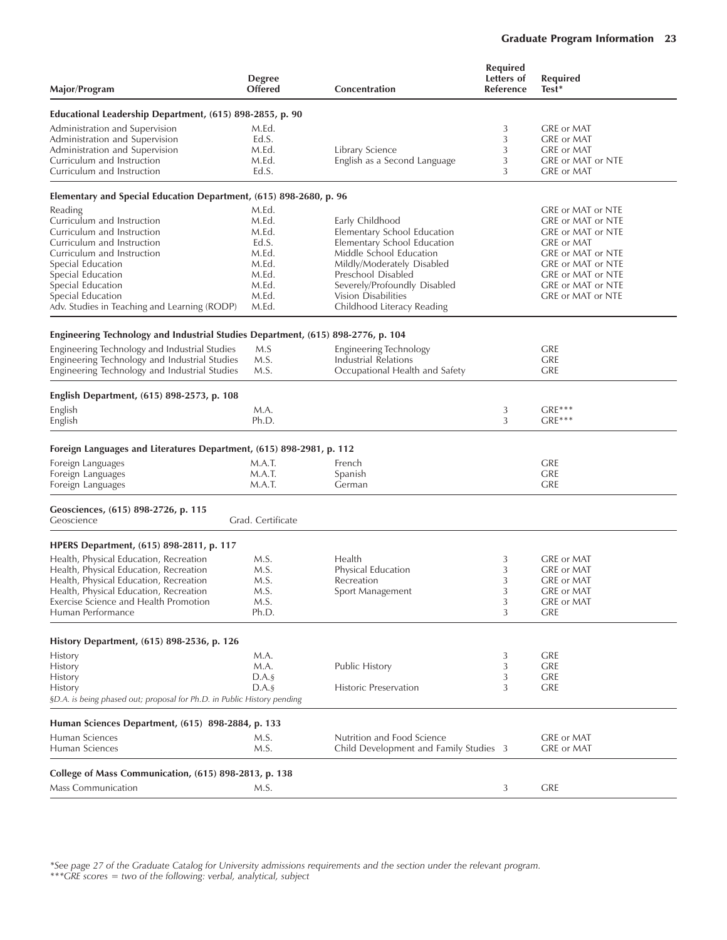## Graduate Program Information 23

| Major/Program                                                                    | <b>Degree</b><br><b>Offered</b> | Concentration                                     | <b>Required</b><br>Letters of<br>Reference | <b>Required</b><br>Test* |
|----------------------------------------------------------------------------------|---------------------------------|---------------------------------------------------|--------------------------------------------|--------------------------|
| Educational Leadership Department, (615) 898-2855, p. 90                         |                                 |                                                   |                                            |                          |
| Administration and Supervision                                                   | M.Ed.                           |                                                   | 3                                          | <b>GRE or MAT</b>        |
| Administration and Supervision                                                   | Ed.S.                           |                                                   | 3                                          | <b>GRE</b> or MAT        |
| Administration and Supervision                                                   | M.Ed.                           | Library Science                                   | 3                                          | GRE or MAT               |
| Curriculum and Instruction                                                       | M.Ed.                           | English as a Second Language                      | 3                                          | GRE or MAT or NTE        |
| Curriculum and Instruction                                                       | Ed.S.                           |                                                   | 3                                          | GRE or MAT               |
| Elementary and Special Education Department, (615) 898-2680, p. 96               |                                 |                                                   |                                            |                          |
| Reading                                                                          | M.Ed.                           |                                                   |                                            | GRE or MAT or NTE        |
| Curriculum and Instruction                                                       | M.Ed.                           | Early Childhood                                   |                                            | GRE or MAT or NTE        |
| Curriculum and Instruction                                                       | M.Ed.                           | Elementary School Education                       |                                            | GRE or MAT or NTE        |
| Curriculum and Instruction                                                       | Ed.S.                           | Elementary School Education                       |                                            | GRE or MAT               |
| Curriculum and Instruction                                                       | M.Ed.                           | Middle School Education                           |                                            | GRE or MAT or NTE        |
| Special Education                                                                | M.Ed.                           | Mildly/Moderately Disabled                        |                                            | GRE or MAT or NTE        |
| Special Education                                                                | M.Ed.                           | Preschool Disabled                                |                                            | GRE or MAT or NTE        |
| Special Education                                                                | M.Ed.                           | Severely/Profoundly Disabled                      |                                            | GRE or MAT or NTE        |
| Special Education<br>Adv. Studies in Teaching and Learning (RODP)                | M.Ed.<br>M.Ed.                  | Vision Disabilities<br>Childhood Literacy Reading |                                            | GRE or MAT or NTE        |
|                                                                                  |                                 |                                                   |                                            |                          |
| Engineering Technology and Industrial Studies Department, (615) 898-2776, p. 104 |                                 |                                                   |                                            |                          |
| Engineering Technology and Industrial Studies                                    | M.S                             | Engineering Technology                            |                                            | <b>GRE</b>               |
| Engineering Technology and Industrial Studies                                    | M.S.                            | Industrial Relations                              |                                            | <b>GRE</b>               |
| Engineering Technology and Industrial Studies                                    | M.S.                            | Occupational Health and Safety                    |                                            | <b>GRE</b>               |
| English Department, (615) 898-2573, p. 108                                       |                                 |                                                   |                                            |                          |
| English                                                                          | M.A.                            |                                                   | 3                                          | $GRE***$                 |
| English                                                                          | Ph.D.                           |                                                   | 3                                          | $GRE***$                 |
| Foreign Languages and Literatures Department, (615) 898-2981, p. 112             |                                 |                                                   |                                            |                          |
| Foreign Languages                                                                | M.A.T.                          | French                                            |                                            | <b>GRE</b>               |
| Foreign Languages                                                                | M.A.T.                          | Spanish                                           |                                            | <b>GRE</b>               |
| Foreign Languages                                                                | M.A.T.                          | German                                            |                                            | <b>GRE</b>               |
| Geosciences, (615) 898-2726, p. 115<br>Geoscience                                | Grad. Certificate               |                                                   |                                            |                          |
| HPERS Department, (615) 898-2811, p. 117                                         |                                 |                                                   |                                            |                          |
| Health, Physical Education, Recreation                                           | M.S.                            | Health                                            | 3                                          | <b>GRE</b> or MAT        |
| Health, Physical Education, Recreation                                           | M.S.                            | Physical Education                                | 3                                          | <b>GRE or MAT</b>        |
| Health, Physical Education, Recreation                                           | M.S.                            | Recreation                                        | 3                                          | <b>GRE</b> or MAT        |
| Health, Physical Education, Recreation                                           | M.S.                            | Sport Management                                  | 3                                          | GRE or MAT               |
| Exercise Science and Health Promotion                                            | M.S.                            |                                                   | 3                                          | GRE or MAT               |
| Human Performance                                                                | Ph.D.                           |                                                   | 3                                          | <b>GRE</b>               |
| History Department, (615) 898-2536, p. 126                                       |                                 |                                                   |                                            |                          |
| History                                                                          | M.A.                            |                                                   | 3                                          | <b>GRE</b>               |
| History                                                                          | M.A.                            | Public History                                    | 3                                          | <b>GRE</b>               |
| History                                                                          | $D.A.$ §                        |                                                   | 3                                          | <b>GRE</b>               |
| History                                                                          | D.A.s                           | <b>Historic Preservation</b>                      | 3                                          | <b>GRE</b>               |
| §D.A. is being phased out; proposal for Ph.D. in Public History pending          |                                 |                                                   |                                            |                          |
| Human Sciences Department, (615) 898-2884, p. 133                                |                                 |                                                   |                                            |                          |
| Human Sciences                                                                   | M.S.                            | Nutrition and Food Science                        |                                            | GRE or MAT               |
| Human Sciences                                                                   | M.S.                            | Child Development and Family Studies 3            |                                            | GRE or MAT               |
| College of Mass Communication, (615) 898-2813, p. 138                            |                                 |                                                   |                                            |                          |
| Mass Communication                                                               | M.S.                            |                                                   | 3                                          | <b>GRE</b>               |
|                                                                                  |                                 |                                                   |                                            |                          |

*\*See page 27 of the Graduate Catalog for University admissions requirements and the section under the relevant program. \*\*\*GRE scores = two of the following: verbal, analytical, subject*